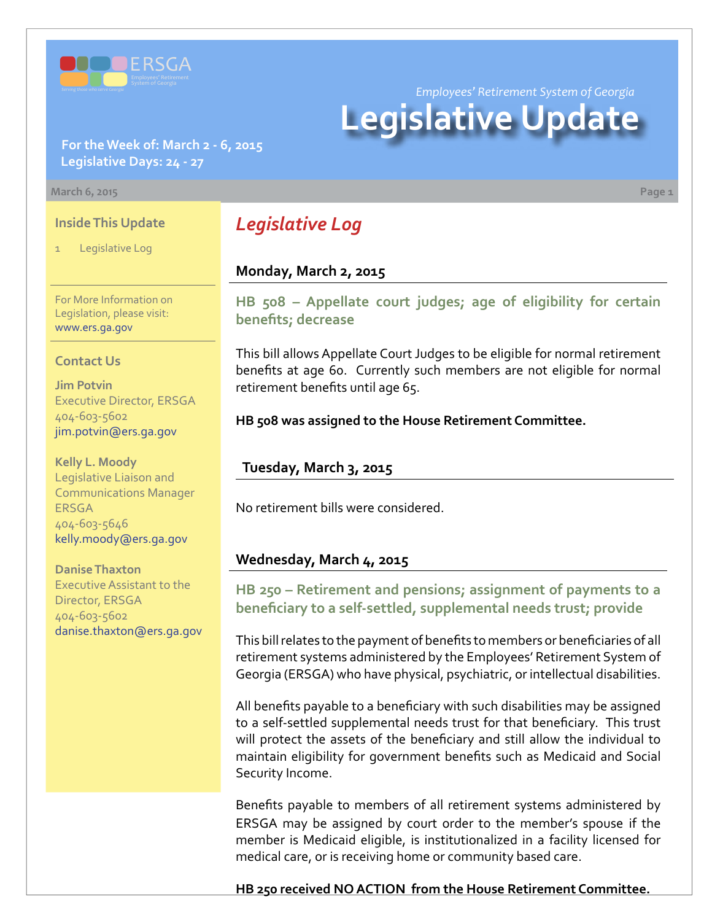

**For the Week of: March 2 - 6, 2015 Legislative Days: 24 - 27**

#### **March 6, 2015 Page 1**

### **Inside This Update**

Legislative Log

For More Information on Legislation, please visit: [www.ers.ga.gov](http://www.ers.ga.gov/default.aspx)

### **Contact Us**

**Jim Potvin** Executive Director, ERSGA 404-603-5602 jim.potvin@ers.ga.gov

**Kelly L. Moody** Legislative Liaison and Communications Manager **ERSGA** 404-603-5646 kelly.moody@ers.ga.gov

**Danise Thaxton** Executive Assistant to the Director, ERSGA 404-603-5602 danise.thaxton@ers.ga.gov

# *Legislative Log*

## **Monday, March 2, 2015**

**HB [508 –](http://www.legis.ga.gov/legislation/en-US/Display/20152016/HB/508) Appellate court judges; age of eligibility for certain benefits; decrease**

This bill allows Appellate Court Judges to be eligible for normal retirement benefits at age 60. Currently such members are not eligible for normal retirement benefits until age 65.

**HB 508 was assigned to the House Retirement Committee.**

## **Tuesday, March 3, 2015**

No retirement bills were considered.

## **Wednesday, March 4, 2015**

**HB [250 –](http://www.legis.ga.gov/legislation/en-US/Display/20152016/HB/250) Retirement and pensions; assignment of payments to a beneficiary to a self-settled, supplemental needs trust; provide**

This bill relates to the payment of benefits to members or beneficiaries of all retirement systems administered by the Employees' Retirement System of Georgia (ERSGA) who have physical, psychiatric, or intellectual disabilities.

All benefits payable to a beneficiary with such disabilities may be assigned to a self-settled supplemental needs trust for that beneficiary. This trust will protect the assets of the beneficiary and still allow the individual to maintain eligibility for government benefits such as Medicaid and Social Security Income.

Benefits payable to members of all retirement systems administered by ERSGA may be assigned by court order to the member's spouse if the member is Medicaid eligible, is institutionalized in a facility licensed for medical care, or is receiving home or community based care.

**HB 250 received NO ACTION from the House Retirement Committee.**

*Employees' Retirement System of Georgia*

# **Legislative Update**